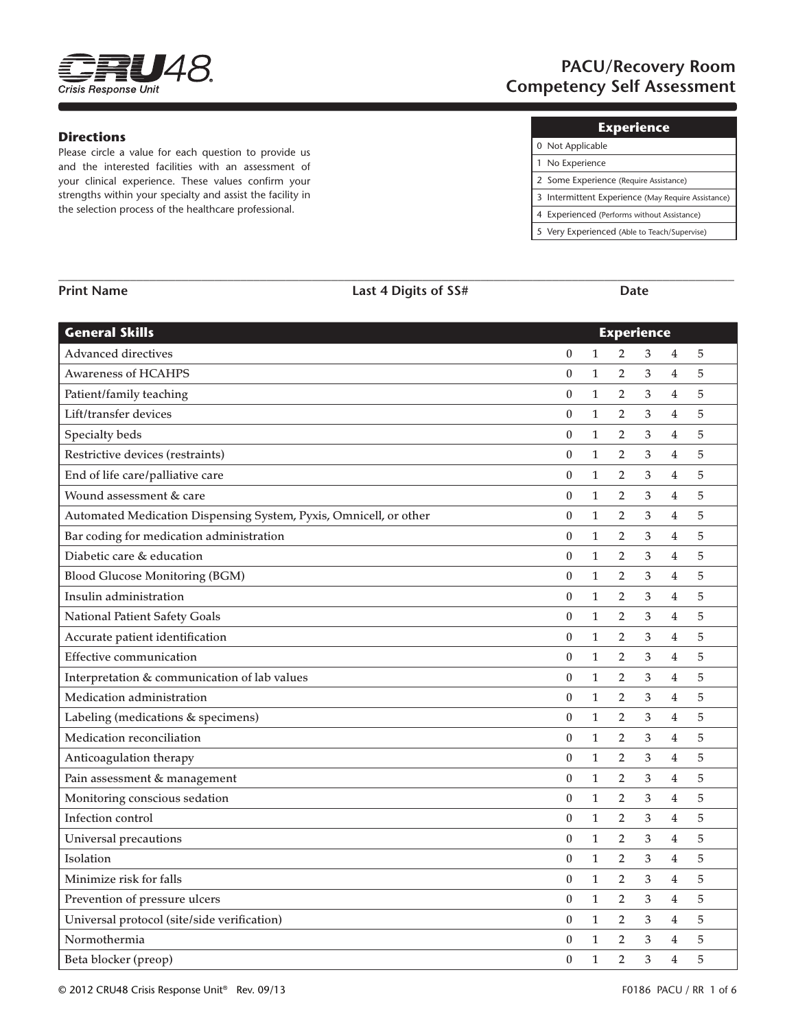

# **PACU/Recovery Room Competency Self Assessment**

#### **Directions**

Please circle a value for each question to provide us and the interested facilities with an assessment of your clinical experience. These values confirm your strengths within your specialty and assist the facility in the selection process of the healthcare professional.

| 0 Not Applicable                                   |
|----------------------------------------------------|
| 1 No Experience                                    |
| 2 Some Experience (Require Assistance)             |
| 3 Intermittent Experience (May Require Assistance) |
| 4 Experienced (Performs without Assistance)        |
| 5 Very Experienced (Able to Teach/Supervise)       |

| <b>General Skills</b>                                             |                  | <b>Experience</b> |                |                           |                         |   |  |
|-------------------------------------------------------------------|------------------|-------------------|----------------|---------------------------|-------------------------|---|--|
| <b>Advanced directives</b>                                        | $\boldsymbol{0}$ | $\mathbf{1}$      | $\overline{2}$ | 3                         | 4                       | 5 |  |
| <b>Awareness of HCAHPS</b>                                        | $\mathbf{0}$     | $\mathbf{1}$      | 2              | 3                         | $\overline{4}$          | 5 |  |
| Patient/family teaching                                           | $\boldsymbol{0}$ | $\mathbf{1}$      | $\overline{2}$ | 3                         | $\overline{4}$          | 5 |  |
| Lift/transfer devices                                             | $\boldsymbol{0}$ | $\mathbf{1}$      | $\overline{2}$ | 3                         | 4                       | 5 |  |
| Specialty beds                                                    | $\boldsymbol{0}$ | $\mathbf{1}$      | $\overline{2}$ | 3                         | $\overline{4}$          | 5 |  |
| Restrictive devices (restraints)                                  | $\boldsymbol{0}$ | $\mathbf{1}$      | $\overline{2}$ | 3                         | 4                       | 5 |  |
| End of life care/palliative care                                  | $\boldsymbol{0}$ | $\mathbf{1}$      | $\overline{2}$ | 3                         | 4                       | 5 |  |
| Wound assessment & care                                           | $\boldsymbol{0}$ | $\mathbf{1}$      | $\overline{2}$ | 3                         | $\overline{4}$          | 5 |  |
| Automated Medication Dispensing System, Pyxis, Omnicell, or other | $\boldsymbol{0}$ | $\mathbf{1}$      | $\overline{2}$ | 3                         | $\overline{4}$          | 5 |  |
| Bar coding for medication administration                          | $\boldsymbol{0}$ | $\mathbf{1}$      | $\overline{2}$ | 3                         | $\overline{\mathbf{4}}$ | 5 |  |
| Diabetic care & education                                         | $\boldsymbol{0}$ | $\mathbf{1}$      | $\overline{2}$ | 3                         | 4                       | 5 |  |
| <b>Blood Glucose Monitoring (BGM)</b>                             | $\boldsymbol{0}$ | $\mathbf{1}$      | $\overline{2}$ | 3                         | 4                       | 5 |  |
| Insulin administration                                            | $\boldsymbol{0}$ | $\mathbf{1}$      | $\overline{2}$ | 3                         | 4                       | 5 |  |
| National Patient Safety Goals                                     | $\boldsymbol{0}$ | $\mathbf{1}$      | $\overline{2}$ | 3                         | 4                       | 5 |  |
| Accurate patient identification                                   | $\boldsymbol{0}$ | $\mathbf{1}$      | $\overline{2}$ | 3                         | $\overline{4}$          | 5 |  |
| <b>Effective communication</b>                                    | $\boldsymbol{0}$ | $\mathbf{1}$      | $\overline{2}$ | 3                         | $\overline{4}$          | 5 |  |
| Interpretation & communication of lab values                      | $\boldsymbol{0}$ | $\mathbf{1}$      | $\overline{2}$ | 3                         | $\overline{4}$          | 5 |  |
| Medication administration                                         | $\boldsymbol{0}$ | $\mathbf{1}$      | $\overline{2}$ | 3                         | $\overline{4}$          | 5 |  |
| Labeling (medications & specimens)                                | $\boldsymbol{0}$ | $\mathbf{1}$      | $\overline{2}$ | 3                         | $\overline{4}$          | 5 |  |
| Medication reconciliation                                         | $\boldsymbol{0}$ | $\mathbf{1}$      | $\overline{2}$ | 3                         | $\overline{4}$          | 5 |  |
| Anticoagulation therapy                                           | $\boldsymbol{0}$ | $\mathbf{1}$      | $\overline{2}$ | 3                         | 4                       | 5 |  |
| Pain assessment & management                                      | $\boldsymbol{0}$ | $\mathbf{1}$      | $\overline{2}$ | 3                         | $\overline{4}$          | 5 |  |
| Monitoring conscious sedation                                     | $\boldsymbol{0}$ | $\mathbf{1}$      | $\overline{2}$ | $\ensuremath{\mathsf{3}}$ | $\overline{4}$          | 5 |  |
| Infection control                                                 | $\boldsymbol{0}$ | $\mathbf{1}$      | $\overline{2}$ | 3                         | $\overline{4}$          | 5 |  |
| Universal precautions                                             | $\boldsymbol{0}$ | $\mathbf{1}$      | $\overline{2}$ | 3                         | 4                       | 5 |  |
| Isolation                                                         | $\boldsymbol{0}$ | $\mathbf{1}$      | $\overline{2}$ | 3                         | 4                       | 5 |  |
| Minimize risk for falls                                           | $\boldsymbol{0}$ | $\mathbf{1}$      | $\overline{2}$ | 3                         | 4                       | 5 |  |
| Prevention of pressure ulcers                                     | $\boldsymbol{0}$ | $\mathbf{1}$      | $\overline{2}$ | 3                         | 4                       | 5 |  |
| Universal protocol (site/side verification)                       | $\boldsymbol{0}$ | $\mathbf{1}$      | $\overline{2}$ | 3                         | 4                       | 5 |  |
| Normothermia                                                      | $\boldsymbol{0}$ | $\mathbf{1}$      | $\overline{2}$ | 3                         | $\overline{4}$          | 5 |  |
| Beta blocker (preop)                                              | $\mathbf{0}$     | $\mathbf{1}$      | $\overline{2}$ | 3                         | $\overline{4}$          | 5 |  |

**\_\_\_\_\_\_\_\_\_\_\_\_\_\_\_\_\_\_\_\_\_\_\_\_\_\_\_\_\_\_\_\_\_\_\_\_\_\_\_\_\_\_\_\_\_\_\_\_\_\_\_\_\_\_\_\_\_\_\_\_\_\_\_\_\_\_\_\_\_\_\_\_\_\_\_\_\_\_\_\_\_\_\_\_\_\_\_\_\_\_\_\_\_\_\_\_\_\_\_\_\_\_\_\_**

**Print Name Last 4 Digits of SS# Date**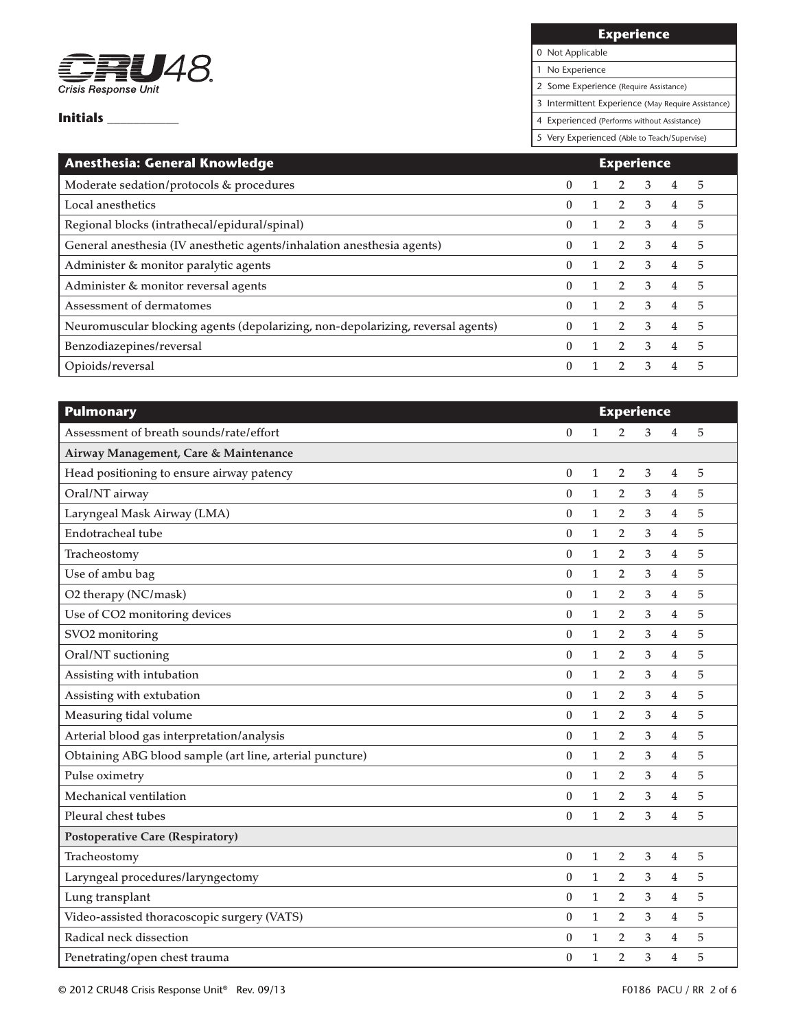

**Experience**

0 Not Applicable

1 No Experience

2 Some Experience (Require Assistance)

3 Intermittent Experience (May Require Assistance)

4 Experienced (Performs without Assistance)

| <b>Anesthesia: General Knowledge</b><br><b>Experience</b>                       |              |  |                |                         |                |   |
|---------------------------------------------------------------------------------|--------------|--|----------------|-------------------------|----------------|---|
| Moderate sedation/protocols & procedures                                        | $\mathbf{0}$ |  |                | 3                       | 4              | 5 |
| Local anesthetics                                                               | $\mathbf{0}$ |  | 2              | 3                       | 4              | 5 |
| Regional blocks (intrathecal/epidural/spinal)                                   | $\mathbf{0}$ |  | 2              | -3                      | 4              | 5 |
| General anesthesia (IV anesthetic agents/inhalation anesthesia agents)          | $\Omega$     |  | $\mathcal{P}$  | $\mathcal{E}$           | 4              | 5 |
| Administer & monitor paralytic agents                                           | $\mathbf{0}$ |  | $2^{\circ}$    | $\overline{\mathbf{3}}$ | $\overline{4}$ | 5 |
| Administer & monitor reversal agents                                            | $\Omega$     |  | $\overline{2}$ | $\mathbf{3}$            | $\overline{4}$ | 5 |
| Assessment of dermatomes                                                        | $\Omega$     |  | $\mathcal{P}$  | $\mathbf{R}$            | 4              | 5 |
| Neuromuscular blocking agents (depolarizing, non-depolarizing, reversal agents) | $\Omega$     |  |                | 3                       | 4              | 5 |
| Benzodiazepines/reversal                                                        | $\Omega$     |  |                | 3                       | 4              | 5 |
| Opioids/reversal                                                                | $\Omega$     |  |                | 3                       | 4              | 5 |

| <b>Pulmonary</b>                                         | <b>Experience</b> |              |                |   |                |   |  |  |
|----------------------------------------------------------|-------------------|--------------|----------------|---|----------------|---|--|--|
| Assessment of breath sounds/rate/effort                  | $\boldsymbol{0}$  | $\mathbf{1}$ | $\overline{2}$ | 3 | 4              | 5 |  |  |
| Airway Management, Care & Maintenance                    |                   |              |                |   |                |   |  |  |
| Head positioning to ensure airway patency                | $\boldsymbol{0}$  | $\mathbf{1}$ | $\overline{2}$ | 3 | 4              | 5 |  |  |
| Oral/NT airway                                           | $\mathbf{0}$      | $\mathbf{1}$ | $\overline{2}$ | 3 | 4              | 5 |  |  |
| Laryngeal Mask Airway (LMA)                              | $\theta$          | $\mathbf{1}$ | $\overline{2}$ | 3 | 4              | 5 |  |  |
| Endotracheal tube                                        | $\boldsymbol{0}$  | $\mathbf{1}$ | $\overline{2}$ | 3 | $\overline{4}$ | 5 |  |  |
| Tracheostomy                                             | $\mathbf{0}$      | $\mathbf{1}$ | $\overline{2}$ | 3 | 4              | 5 |  |  |
| Use of ambu bag                                          | $\boldsymbol{0}$  | $\mathbf{1}$ | $\overline{2}$ | 3 | 4              | 5 |  |  |
| O2 therapy (NC/mask)                                     | $\boldsymbol{0}$  | $\mathbf{1}$ | $\overline{2}$ | 3 | 4              | 5 |  |  |
| Use of CO2 monitoring devices                            | $\boldsymbol{0}$  | $\mathbf{1}$ | $\overline{2}$ | 3 | 4              | 5 |  |  |
| SVO <sub>2</sub> monitoring                              | $\boldsymbol{0}$  | $\mathbf{1}$ | $\overline{2}$ | 3 | $\overline{4}$ | 5 |  |  |
| Oral/NT suctioning                                       | $\theta$          | $\mathbf{1}$ | $\overline{2}$ | 3 | $\overline{4}$ | 5 |  |  |
| Assisting with intubation                                | $\boldsymbol{0}$  | 1            | $\overline{2}$ | 3 | 4              | 5 |  |  |
| Assisting with extubation                                | $\theta$          | $\mathbf{1}$ | $\overline{2}$ | 3 | 4              | 5 |  |  |
| Measuring tidal volume                                   | $\bf{0}$          | $\mathbf{1}$ | 2              | 3 | 4              | 5 |  |  |
| Arterial blood gas interpretation/analysis               | $\boldsymbol{0}$  | $\mathbf{1}$ | $\overline{2}$ | 3 | 4              | 5 |  |  |
| Obtaining ABG blood sample (art line, arterial puncture) | $\boldsymbol{0}$  | $\mathbf{1}$ | 2              | 3 | 4              | 5 |  |  |
| Pulse oximetry                                           | $\boldsymbol{0}$  | $\mathbf{1}$ | $\overline{2}$ | 3 | 4              | 5 |  |  |
| Mechanical ventilation                                   | $\boldsymbol{0}$  | $\mathbf{1}$ | 2              | 3 | 4              | 5 |  |  |
| Pleural chest tubes                                      | $\mathbf{0}$      | $\mathbf{1}$ | $\overline{2}$ | 3 | $\overline{4}$ | 5 |  |  |
| <b>Postoperative Care (Respiratory)</b>                  |                   |              |                |   |                |   |  |  |
| Tracheostomy                                             | $\bf{0}$          | 1            | 2              | 3 | 4              | 5 |  |  |
| Laryngeal procedures/laryngectomy                        | $\theta$          | $\mathbf{1}$ | $\overline{2}$ | 3 | 4              | 5 |  |  |
| Lung transplant                                          | $\boldsymbol{0}$  | $\mathbf{1}$ | 2              | 3 | 4              | 5 |  |  |
| Video-assisted thoracoscopic surgery (VATS)              | $\boldsymbol{0}$  | $\mathbf{1}$ | $\overline{2}$ | 3 | 4              | 5 |  |  |
| Radical neck dissection                                  | $\boldsymbol{0}$  | $\mathbf{1}$ | $\overline{2}$ | 3 | 4              | 5 |  |  |
| Penetrating/open chest trauma                            | $\bf{0}$          | $\mathbf{1}$ | $\overline{2}$ | 3 | 4              | 5 |  |  |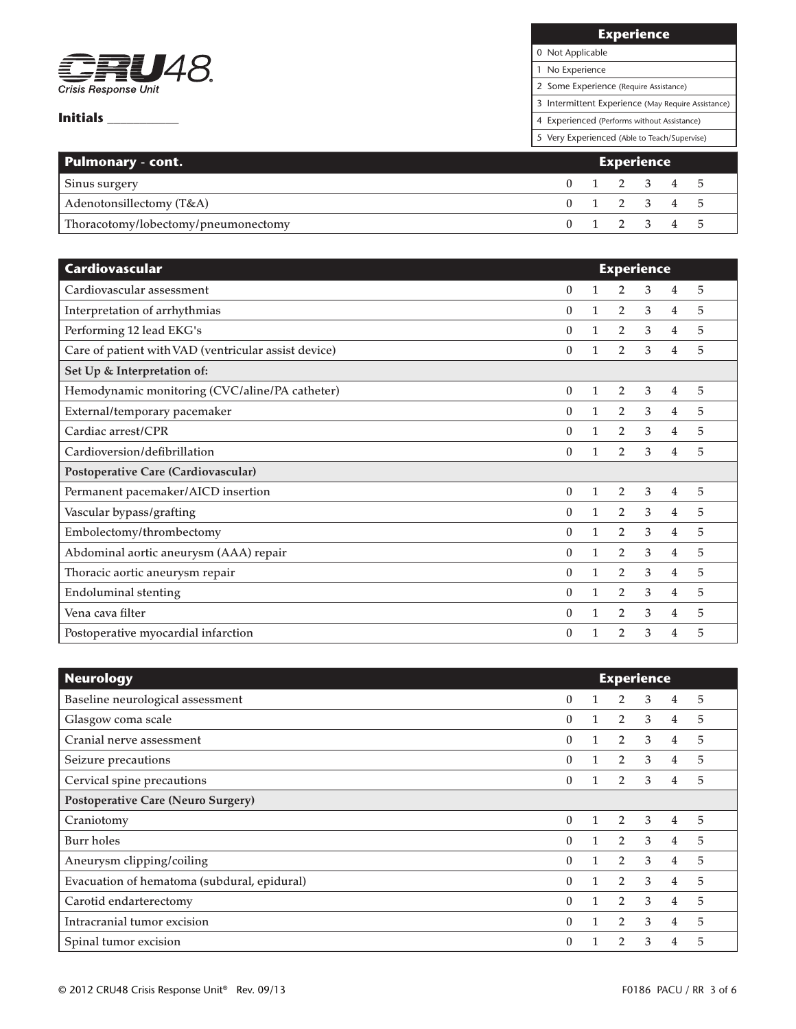

| <b>Experience</b>                      |
|----------------------------------------|
| 0 Not Applicable                       |
| 1 No Experience                        |
| 2 Some Experience (Require Assistance) |

3 Intermittent Experience (May Require Assistance)

4 Experienced (Performs without Assistance)

| <b>Pulmonary - cont.</b>            | <b>Experience</b> |  |                         |  |  |  |
|-------------------------------------|-------------------|--|-------------------------|--|--|--|
| Sinus surgery                       |                   |  | $0 \t1 \t2 \t3 \t4 \t5$ |  |  |  |
| Adenotonsillectomy (T&A)            |                   |  | 0 1 2 3 4 5             |  |  |  |
| Thoracotomy/lobectomy/pneumonectomy |                   |  | 0 1 2 3 4 5             |  |  |  |

| Cardiovascular                                       | <b>Experience</b> |   |                |   |                |   |
|------------------------------------------------------|-------------------|---|----------------|---|----------------|---|
| Cardiovascular assessment                            | $\theta$          | 1 | 2              | 3 | 4              | 5 |
| Interpretation of arrhythmias                        | $\theta$          | 1 | $\overline{2}$ | 3 | 4              | 5 |
| Performing 12 lead EKG's                             | $\theta$          | 1 | $\overline{2}$ | 3 | $\overline{4}$ | 5 |
| Care of patient with VAD (ventricular assist device) | $\boldsymbol{0}$  | 1 | $\overline{2}$ | 3 | 4              | 5 |
| Set Up & Interpretation of:                          |                   |   |                |   |                |   |
| Hemodynamic monitoring (CVC/aline/PA catheter)       | $\boldsymbol{0}$  | 1 | $\overline{2}$ | 3 | $\overline{4}$ | 5 |
| External/temporary pacemaker                         | $\theta$          | 1 | 2              | 3 | 4              | 5 |
| Cardiac arrest/CPR                                   | $\boldsymbol{0}$  | 1 | 2              | 3 | $\overline{4}$ | 5 |
| Cardioversion/defibrillation                         | $\theta$          | 1 | 2              | 3 | 4              | 5 |
| Postoperative Care (Cardiovascular)                  |                   |   |                |   |                |   |
| Permanent pacemaker/AICD insertion                   | $\theta$          | 1 | 2              | 3 | 4              | 5 |
| Vascular bypass/grafting                             | $\theta$          | 1 | 2              | 3 | 4              | 5 |
| Embolectomy/thrombectomy                             | $\theta$          | 1 | 2              | 3 | 4              | 5 |
| Abdominal aortic aneurysm (AAA) repair               | $\theta$          | 1 | $\overline{2}$ | 3 | $\overline{4}$ | 5 |
| Thoracic aortic aneurysm repair                      | $\theta$          | 1 | $\overline{2}$ | 3 | 4              | 5 |
| <b>Endoluminal stenting</b>                          | $\Omega$          | 1 | $\overline{2}$ | 3 | $\overline{4}$ | 5 |
| Vena cava filter                                     | $\Omega$          | 1 | $\overline{2}$ | 3 | 4              | 5 |
| Postoperative myocardial infarction                  | $\theta$          |   | $\overline{2}$ | 3 | 4              | 5 |

| <b>Neurology</b>                            | <b>Experience</b> |   |                |   |                |   |
|---------------------------------------------|-------------------|---|----------------|---|----------------|---|
| Baseline neurological assessment            | $\theta$          |   | 2              | 3 | 4              | 5 |
| Glasgow coma scale                          | 0                 |   | 2              | 3 | $\overline{4}$ | 5 |
| Cranial nerve assessment                    | $\theta$          |   | $\overline{2}$ | 3 | 4              | 5 |
| Seizure precautions                         | $\Omega$          |   | $\overline{2}$ | 3 | 4              | 5 |
| Cervical spine precautions                  | $\mathbf{0}$      |   | $\overline{2}$ | 3 | 4              | 5 |
| <b>Postoperative Care (Neuro Surgery)</b>   |                   |   |                |   |                |   |
| Craniotomy                                  | $\theta$          | 1 | 2              | 3 | 4              | 5 |
| Burr holes                                  | $\mathbf{0}$      |   | 2              | 3 | $\overline{4}$ | 5 |
| Aneurysm clipping/coiling                   | $\theta$          |   | 2              | 3 | 4              | 5 |
| Evacuation of hematoma (subdural, epidural) | $\theta$          |   | 2              | 3 | 4              | 5 |
| Carotid endarterectomy                      | $\Omega$          |   | $\overline{2}$ | 3 | 4              | 5 |
| Intracranial tumor excision                 | $\Omega$          |   | $\overline{2}$ | 3 | 4              | 5 |
| Spinal tumor excision                       | 0                 |   |                | 3 | 4              | 5 |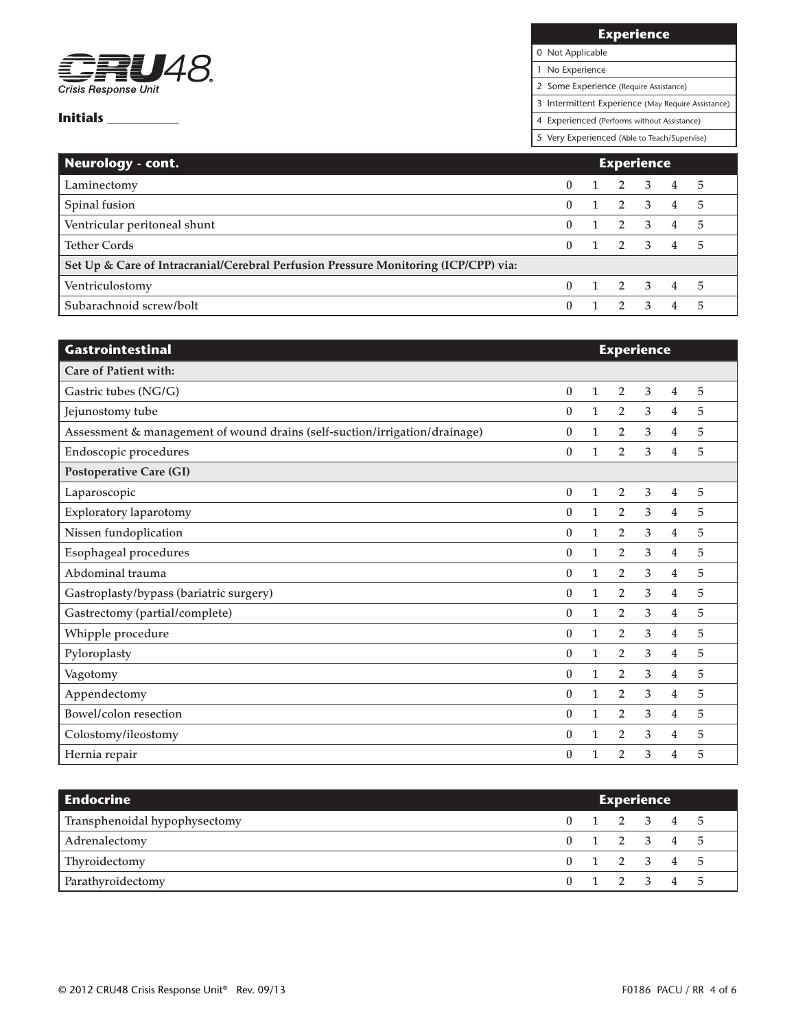

**Experience**

0 Not Applicable 1 No Experience

2 Some Experience (Require Assistance)

3 Intermittent Experience (May Require Assistance)

4 Experienced (Performs without Assistance)

| Neurology - cont.                                                                   | <b>Experience</b> |  |                     |  |                |     |
|-------------------------------------------------------------------------------------|-------------------|--|---------------------|--|----------------|-----|
| Laminectomy                                                                         | $\mathbf{0}$      |  | $1 \quad 2 \quad 3$ |  | 4 5            |     |
| Spinal fusion                                                                       | $\mathbf{0}$      |  | $1 \quad 2 \quad 3$ |  | 4 5            |     |
| Ventricular peritoneal shunt                                                        | $\Omega$          |  | $1 \quad 2 \quad 3$ |  | 4 5            |     |
| <b>Tether Cords</b>                                                                 | $\Omega$          |  | $1 \t2 \t3 \t4 \t5$ |  |                |     |
| Set Up & Care of Intracranial/Cerebral Perfusion Pressure Monitoring (ICP/CPP) via: |                   |  |                     |  |                |     |
| Ventriculostomy                                                                     | $\Omega$          |  | 1 2 3 4 5           |  |                |     |
| Subarachnoid screw/bolt                                                             | $\mathbf{0}$      |  | 2 3                 |  | $\overline{4}$ | - 5 |

| Gastrointestinal                                                           | <b>Experience</b> |              |                |   |                |   |
|----------------------------------------------------------------------------|-------------------|--------------|----------------|---|----------------|---|
| Care of Patient with:                                                      |                   |              |                |   |                |   |
| Gastric tubes (NG/G)                                                       | $\theta$          | $\mathbf{1}$ | 2              | 3 | 4              | 5 |
| Jejunostomy tube                                                           | $\bf{0}$          | 1            | 2              | 3 | 4              | 5 |
| Assessment & management of wound drains (self-suction/irrigation/drainage) | $\bf{0}$          | $\mathbf{1}$ | 2              | 3 | 4              | 5 |
| Endoscopic procedures                                                      | $\boldsymbol{0}$  | 1            | $\overline{2}$ | 3 | 4              | 5 |
| Postoperative Care (GI)                                                    |                   |              |                |   |                |   |
| Laparoscopic                                                               | $\boldsymbol{0}$  | $\mathbf{1}$ | $\overline{2}$ | 3 | 4              | 5 |
| <b>Exploratory laparotomy</b>                                              | $\theta$          | 1            | 2              | 3 | 4              | 5 |
| Nissen fundoplication                                                      | $\bf{0}$          | 1            | $\overline{2}$ | 3 | 4              | 5 |
| Esophageal procedures                                                      | $\Omega$          | 1            | $\overline{2}$ | 3 | $\overline{4}$ | 5 |
| Abdominal trauma                                                           | 0                 | $\mathbf{1}$ | $\overline{2}$ | 3 | 4              | 5 |
| Gastroplasty/bypass (bariatric surgery)                                    | $\boldsymbol{0}$  | $\mathbf{1}$ | $\overline{2}$ | 3 | 4              | 5 |
| Gastrectomy (partial/complete)                                             | $\bf{0}$          | $\mathbf{1}$ | $\overline{2}$ | 3 | 4              | 5 |
| Whipple procedure                                                          | $\theta$          | $\mathbf{1}$ | $\overline{2}$ | 3 | 4              | 5 |
| Pyloroplasty                                                               | $\bf{0}$          | 1            | $\overline{2}$ | 3 | 4              | 5 |
| Vagotomy                                                                   | $\theta$          | 1            | $\overline{2}$ | 3 | 4              | 5 |
| Appendectomy                                                               | $\theta$          | 1            | $\overline{2}$ | 3 | 4              | 5 |
| Bowel/colon resection                                                      | $\mathbf{0}$      | $\mathbf{1}$ | $\overline{2}$ | 3 | 4              | 5 |
| Colostomy/ileostomy                                                        | $\theta$          | 1            | $\overline{2}$ | 3 | 4              | 5 |
| Hernia repair                                                              | $\boldsymbol{0}$  | 1            | $\overline{2}$ | 3 | 4              | 5 |

| <b>Endocrine</b>              | <b>Experience</b> |  |                         |  |  |  |
|-------------------------------|-------------------|--|-------------------------|--|--|--|
| Transphenoidal hypophysectomy |                   |  | $0 \t1 \t2 \t3 \t4 \t5$ |  |  |  |
| Adrenalectomy                 |                   |  | $0 \t1 \t2 \t3 \t4 \t5$ |  |  |  |
| Thyroidectomy                 |                   |  | 0 1 2 3 4 5             |  |  |  |
| Parathyroidectomy             |                   |  | $0 \t1 \t2 \t3 \t4 \t5$ |  |  |  |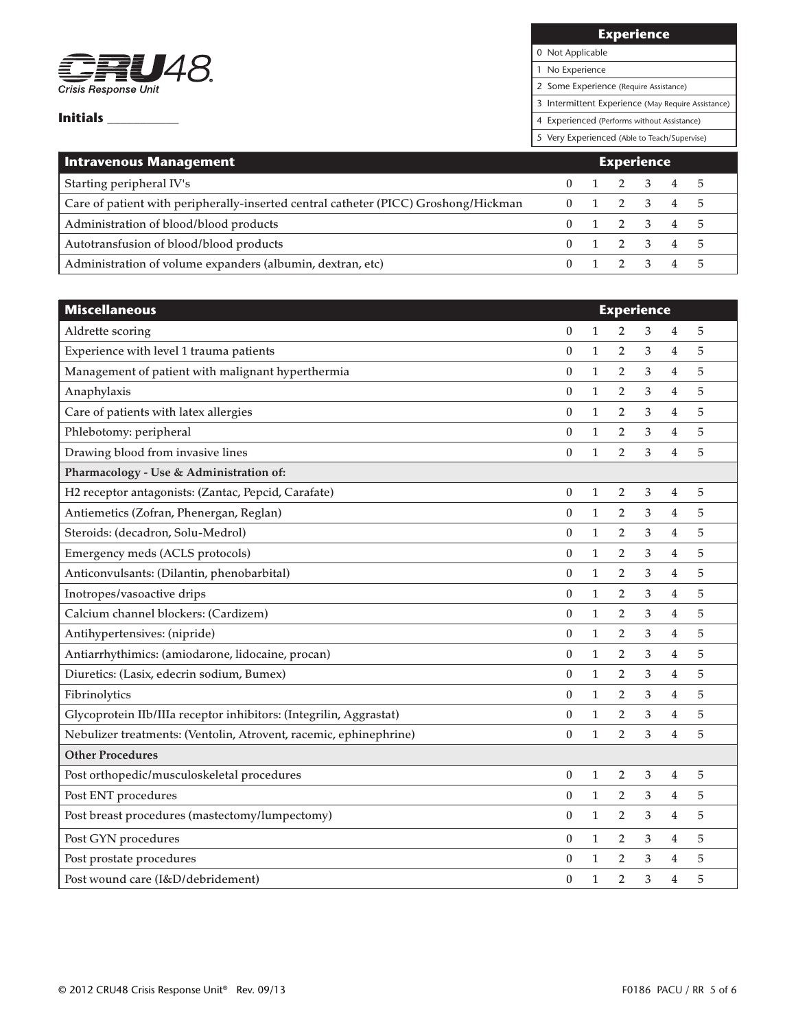

**Experience**

0 Not Applicable

1 No Experience

2 Some Experience (Require Assistance)

3 Intermittent Experience (May Require Assistance)

4 Experienced (Performs without Assistance)

| <b>Intravenous Management</b>                                                       | <b>Experience</b> |  |                         |  |  |  |
|-------------------------------------------------------------------------------------|-------------------|--|-------------------------|--|--|--|
| Starting peripheral IV's                                                            |                   |  | $0 \t1 \t2 \t3 \t4 \t5$ |  |  |  |
| Care of patient with peripherally-inserted central catheter (PICC) Groshong/Hickman |                   |  | 0 1 2 3 4 5             |  |  |  |
| Administration of blood/blood products                                              |                   |  | $0 \t1 \t2 \t3 \t4 \t5$ |  |  |  |
| Autotransfusion of blood/blood products                                             |                   |  | $0 \t1 \t2 \t3 \t4 \t5$ |  |  |  |
| Administration of volume expanders (albumin, dextran, etc)                          |                   |  | 0 1 2 3 4 5             |  |  |  |

| <b>Miscellaneous</b>                                               | <b>Experience</b> |              |                |   |                |   |
|--------------------------------------------------------------------|-------------------|--------------|----------------|---|----------------|---|
| Aldrette scoring                                                   | 0                 | $\mathbf{1}$ | 2              | 3 | 4              | 5 |
| Experience with level 1 trauma patients                            | $\mathbf{0}$      | $\mathbf{1}$ | $\overline{2}$ | 3 | 4              | 5 |
| Management of patient with malignant hyperthermia                  | 0                 | $\mathbf{1}$ | $\overline{2}$ | 3 | 4              | 5 |
| Anaphylaxis                                                        | $\bf{0}$          | $\mathbf{1}$ | $\overline{2}$ | 3 | 4              | 5 |
| Care of patients with latex allergies                              | $\boldsymbol{0}$  | $\mathbf{1}$ | 2              | 3 | 4              | 5 |
| Phlebotomy: peripheral                                             | $\bf{0}$          | $\mathbf{1}$ | $\overline{2}$ | 3 | 4              | 5 |
| Drawing blood from invasive lines                                  | $\bf{0}$          | $\mathbf{1}$ | $\overline{2}$ | 3 | 4              | 5 |
| Pharmacology - Use & Administration of:                            |                   |              |                |   |                |   |
| H2 receptor antagonists: (Zantac, Pepcid, Carafate)                | $\boldsymbol{0}$  | $\mathbf{1}$ | 2              | 3 | 4              | 5 |
| Antiemetics (Zofran, Phenergan, Reglan)                            | 0                 | $\mathbf{1}$ | $\overline{2}$ | 3 | 4              | 5 |
| Steroids: (decadron, Solu-Medrol)                                  | $\boldsymbol{0}$  | $\mathbf{1}$ | $\overline{2}$ | 3 | 4              | 5 |
| Emergency meds (ACLS protocols)                                    | $\boldsymbol{0}$  | $\mathbf{1}$ | 2              | 3 | 4              | 5 |
| Anticonvulsants: (Dilantin, phenobarbital)                         | $\theta$          | $\mathbf{1}$ | $\overline{2}$ | 3 | $\overline{4}$ | 5 |
| Inotropes/vasoactive drips                                         | $\boldsymbol{0}$  | $\mathbf{1}$ | 2              | 3 | 4              | 5 |
| Calcium channel blockers: (Cardizem)                               | $\boldsymbol{0}$  | $\mathbf{1}$ | 2              | 3 | 4              | 5 |
| Antihypertensives: (nipride)                                       | $\mathbf{0}$      | $\mathbf{1}$ | $\overline{2}$ | 3 | 4              | 5 |
| Antiarrhythimics: (amiodarone, lidocaine, procan)                  | $\boldsymbol{0}$  | $\mathbf{1}$ | $\overline{2}$ | 3 | 4              | 5 |
| Diuretics: (Lasix, edecrin sodium, Bumex)                          | $\bf{0}$          | $\mathbf{1}$ | $\overline{2}$ | 3 | 4              | 5 |
| Fibrinolytics                                                      | $\boldsymbol{0}$  | $\mathbf{1}$ | $\overline{2}$ | 3 | 4              | 5 |
| Glycoprotein IIb/IIIa receptor inhibitors: (Integrilin, Aggrastat) | $\bf{0}$          | $\mathbf{1}$ | $\overline{2}$ | 3 | 4              | 5 |
| Nebulizer treatments: (Ventolin, Atrovent, racemic, ephinephrine)  | $\bf{0}$          | $\mathbf{1}$ | 2              | 3 | 4              | 5 |
| <b>Other Procedures</b>                                            |                   |              |                |   |                |   |
| Post orthopedic/musculoskeletal procedures                         | 0                 | 1            | 2              | 3 | 4              | 5 |
| Post ENT procedures                                                | 0                 | $\mathbf{1}$ | 2              | 3 | 4              | 5 |
| Post breast procedures (mastectomy/lumpectomy)                     | $\boldsymbol{0}$  | $\mathbf{1}$ | $\overline{2}$ | 3 | 4              | 5 |
| Post GYN procedures                                                | 0                 | 1            | 2              | 3 | 4              | 5 |
| Post prostate procedures                                           | 0                 | $\mathbf{1}$ | $\overline{2}$ | 3 | 4              | 5 |
| Post wound care (I&D/debridement)                                  | $\theta$          | $\mathbf{1}$ | $\overline{2}$ | 3 | 4              | 5 |